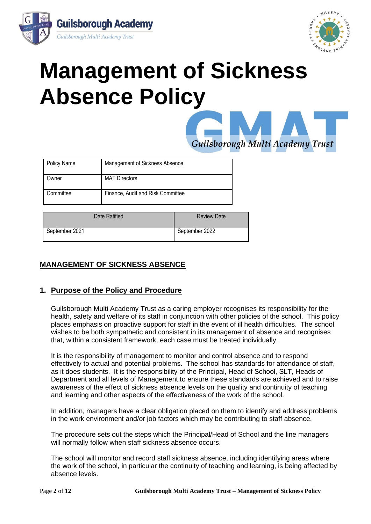



# **Management of Sickness Absence Policy**



| <b>Policy Name</b> | Management of Sickness Absence    |
|--------------------|-----------------------------------|
| )wner              | <b>MAT Directors</b>              |
| Committee          | Finance, Audit and Risk Committee |

| Date Ratified  | <b>Review Date</b> |
|----------------|--------------------|
| September 2021 | September 2022     |

## **MANAGEMENT OF SICKNESS ABSENCE**

## **1. Purpose of the Policy and Procedure**

Guilsborough Multi Academy Trust as a caring employer recognises its responsibility for the health, safety and welfare of its staff in conjunction with other policies of the school. This policy places emphasis on proactive support for staff in the event of ill health difficulties. The school wishes to be both sympathetic and consistent in its management of absence and recognises that, within a consistent framework, each case must be treated individually.

It is the responsibility of management to monitor and control absence and to respond effectively to actual and potential problems. The school has standards for attendance of staff, as it does students. It is the responsibility of the Principal, Head of School, SLT, Heads of Department and all levels of Management to ensure these standards are achieved and to raise awareness of the effect of sickness absence levels on the quality and continuity of teaching and learning and other aspects of the effectiveness of the work of the school.

In addition, managers have a clear obligation placed on them to identify and address problems in the work environment and/or job factors which may be contributing to staff absence.

The procedure sets out the steps which the Principal/Head of School and the line managers will normally follow when staff sickness absence occurs.

The school will monitor and record staff sickness absence, including identifying areas where the work of the school, in particular the continuity of teaching and learning, is being affected by absence levels.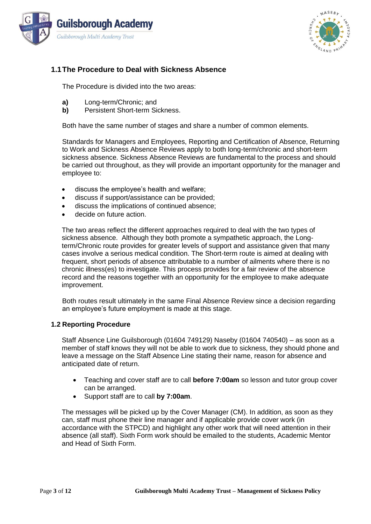



## **1.1The Procedure to Deal with Sickness Absence**

The Procedure is divided into the two areas:

- **a)** Long-term/Chronic; and
- **b)** Persistent Short-term Sickness.

Both have the same number of stages and share a number of common elements.

Standards for Managers and Employees, Reporting and Certification of Absence, Returning to Work and Sickness Absence Reviews apply to both long-term/chronic and short-term sickness absence. Sickness Absence Reviews are fundamental to the process and should be carried out throughout, as they will provide an important opportunity for the manager and employee to:

- discuss the employee's health and welfare;
- discuss if support/assistance can be provided;
- discuss the implications of continued absence;
- decide on future action.

The two areas reflect the different approaches required to deal with the two types of sickness absence. Although they both promote a sympathetic approach, the Longterm/Chronic route provides for greater levels of support and assistance given that many cases involve a serious medical condition. The Short-term route is aimed at dealing with frequent, short periods of absence attributable to a number of ailments where there is no chronic illness(es) to investigate. This process provides for a fair review of the absence record and the reasons together with an opportunity for the employee to make adequate improvement.

Both routes result ultimately in the same Final Absence Review since a decision regarding an employee's future employment is made at this stage.

#### **1.2 Reporting Procedure**

Staff Absence Line Guilsborough (01604 749129) Naseby (01604 740540) – as soon as a member of staff knows they will not be able to work due to sickness, they should phone and leave a message on the Staff Absence Line stating their name, reason for absence and anticipated date of return.

- Teaching and cover staff are to call **before 7:00am** so lesson and tutor group cover can be arranged.
- Support staff are to call **by 7:00am**.

The messages will be picked up by the Cover Manager (CM). In addition, as soon as they can, staff must phone their line manager and if applicable provide cover work (in accordance with the STPCD) and highlight any other work that will need attention in their absence (all staff). Sixth Form work should be emailed to the students, Academic Mentor and Head of Sixth Form.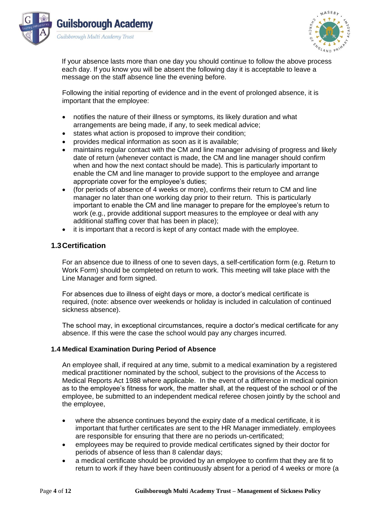



If your absence lasts more than one day you should continue to follow the above process each day. If you know you will be absent the following day it is acceptable to leave a message on the staff absence line the evening before.

Following the initial reporting of evidence and in the event of prolonged absence, it is important that the employee:

- notifies the nature of their illness or symptoms, its likely duration and what arrangements are being made, if any, to seek medical advice;
- states what action is proposed to improve their condition:
- provides medical information as soon as it is available;
- maintains regular contact with the CM and line manager advising of progress and likely date of return (whenever contact is made, the CM and line manager should confirm when and how the next contact should be made). This is particularly important to enable the CM and line manager to provide support to the employee and arrange appropriate cover for the employee's duties;
- (for periods of absence of 4 weeks or more), confirms their return to CM and line manager no later than one working day prior to their return. This is particularly important to enable the CM and line manager to prepare for the employee's return to work (e.g., provide additional support measures to the employee or deal with any additional staffing cover that has been in place);
- it is important that a record is kept of any contact made with the employee.

## **1.3Certification**

For an absence due to illness of one to seven days, a self-certification form (e.g. Return to Work Form) should be completed on return to work. This meeting will take place with the Line Manager and form signed.

For absences due to illness of eight days or more, a doctor's medical certificate is required, (note: absence over weekends or holiday is included in calculation of continued sickness absence).

The school may, in exceptional circumstances, require a doctor's medical certificate for any absence. If this were the case the school would pay any charges incurred.

#### **1.4 Medical Examination During Period of Absence**

An employee shall, if required at any time, submit to a medical examination by a registered medical practitioner nominated by the school, subject to the provisions of the Access to Medical Reports Act 1988 where applicable. In the event of a difference in medical opinion as to the employee's fitness for work, the matter shall, at the request of the school or of the employee, be submitted to an independent medical referee chosen jointly by the school and the employee,

- where the absence continues beyond the expiry date of a medical certificate, it is important that further certificates are sent to the HR Manager immediately. employees are responsible for ensuring that there are no periods un-certificated;
- employees may be required to provide medical certificates signed by their doctor for periods of absence of less than 8 calendar days;
- a medical certificate should be provided by an employee to confirm that they are fit to return to work if they have been continuously absent for a period of 4 weeks or more (a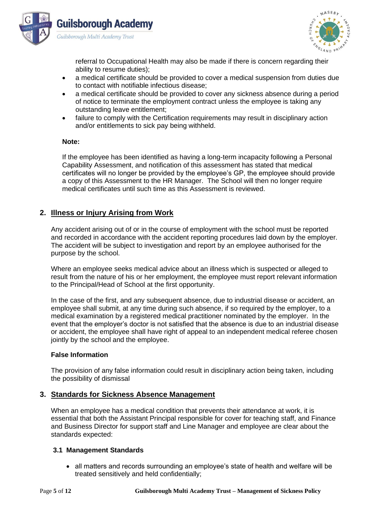



referral to Occupational Health may also be made if there is concern regarding their ability to resume duties);

- a medical certificate should be provided to cover a medical suspension from duties due to contact with notifiable infectious disease;
- a medical certificate should be provided to cover any sickness absence during a period of notice to terminate the employment contract unless the employee is taking any outstanding leave entitlement;
- failure to comply with the Certification requirements may result in disciplinary action and/or entitlements to sick pay being withheld.

#### **Note:**

If the employee has been identified as having a long-term incapacity following a Personal Capability Assessment, and notification of this assessment has stated that medical certificates will no longer be provided by the employee's GP, the employee should provide a copy of this Assessment to the HR Manager. The School will then no longer require medical certificates until such time as this Assessment is reviewed.

## **2. Illness or Injury Arising from Work**

Any accident arising out of or in the course of employment with the school must be reported and recorded in accordance with the accident reporting procedures laid down by the employer. The accident will be subject to investigation and report by an employee authorised for the purpose by the school.

Where an employee seeks medical advice about an illness which is suspected or alleged to result from the nature of his or her employment, the employee must report relevant information to the Principal/Head of School at the first opportunity.

In the case of the first, and any subsequent absence, due to industrial disease or accident, an employee shall submit, at any time during such absence, if so required by the employer, to a medical examination by a registered medical practitioner nominated by the employer. In the event that the employer's doctor is not satisfied that the absence is due to an industrial disease or accident, the employee shall have right of appeal to an independent medical referee chosen jointly by the school and the employee.

#### **False Information**

The provision of any false information could result in disciplinary action being taken, including the possibility of dismissal

## **3. Standards for Sickness Absence Management**

When an employee has a medical condition that prevents their attendance at work, it is essential that both the Assistant Principal responsible for cover for teaching staff, and Finance and Business Director for support staff and Line Manager and employee are clear about the standards expected:

#### **3.1 Management Standards**

• all matters and records surrounding an employee's state of health and welfare will be treated sensitively and held confidentially;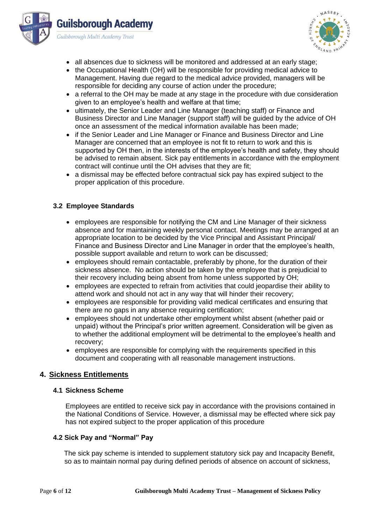



- all absences due to sickness will be monitored and addressed at an early stage;
- the Occupational Health (OH) will be responsible for providing medical advice to Management. Having due regard to the medical advice provided, managers will be responsible for deciding any course of action under the procedure;
- a referral to the OH may be made at any stage in the procedure with due consideration given to an employee's health and welfare at that time;
- ultimately, the Senior Leader and Line Manager (teaching staff) or Finance and Business Director and Line Manager (support staff) will be guided by the advice of OH once an assessment of the medical information available has been made;
- if the Senior Leader and Line Manager or Finance and Business Director and Line Manager are concerned that an employee is not fit to return to work and this is supported by OH then, in the interests of the employee's health and safety, they should be advised to remain absent. Sick pay entitlements in accordance with the employment contract will continue until the OH advises that they are fit;
- a dismissal may be effected before contractual sick pay has expired subject to the proper application of this procedure.

#### **3.2 Employee Standards**

- employees are responsible for notifying the CM and Line Manager of their sickness absence and for maintaining weekly personal contact. Meetings may be arranged at an appropriate location to be decided by the Vice Principal and Assistant Principal/ Finance and Business Director and Line Manager in order that the employee's health, possible support available and return to work can be discussed;
- employees should remain contactable, preferably by phone, for the duration of their sickness absence. No action should be taken by the employee that is prejudicial to their recovery including being absent from home unless supported by OH;
- employees are expected to refrain from activities that could jeopardise their ability to attend work and should not act in any way that will hinder their recovery;
- employees are responsible for providing valid medical certificates and ensuring that there are no gaps in any absence requiring certification;
- employees should not undertake other employment whilst absent (whether paid or unpaid) without the Principal's prior written agreement. Consideration will be given as to whether the additional employment will be detrimental to the employee's health and recovery;
- employees are responsible for complying with the requirements specified in this document and cooperating with all reasonable management instructions.

#### **4. Sickness Entitlements**

#### **4.1 Sickness Scheme**

Employees are entitled to receive sick pay in accordance with the provisions contained in the National Conditions of Service. However, a dismissal may be effected where sick pay has not expired subject to the proper application of this procedure

#### **4.2 Sick Pay and "Normal" Pay**

The sick pay scheme is intended to supplement statutory sick pay and Incapacity Benefit, so as to maintain normal pay during defined periods of absence on account of sickness,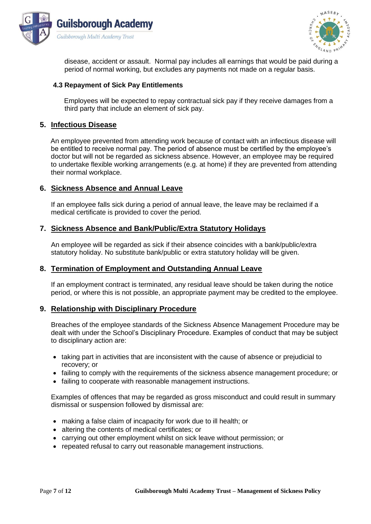



disease, accident or assault. Normal pay includes all earnings that would be paid during a period of normal working, but excludes any payments not made on a regular basis.

#### **4.3 Repayment of Sick Pay Entitlements**

Employees will be expected to repay contractual sick pay if they receive damages from a third party that include an element of sick pay.

## **5. Infectious Disease**

An employee prevented from attending work because of contact with an infectious disease will be entitled to receive normal pay. The period of absence must be certified by the employee's doctor but will not be regarded as sickness absence. However, an employee may be required to undertake flexible working arrangements (e.g. at home) if they are prevented from attending their normal workplace.

## **6. Sickness Absence and Annual Leave**

If an employee falls sick during a period of annual leave, the leave may be reclaimed if a medical certificate is provided to cover the period.

#### **7. Sickness Absence and Bank/Public/Extra Statutory Holidays**

An employee will be regarded as sick if their absence coincides with a bank/public/extra statutory holiday. No substitute bank/public or extra statutory holiday will be given.

#### **8. Termination of Employment and Outstanding Annual Leave**

If an employment contract is terminated, any residual leave should be taken during the notice period, or where this is not possible, an appropriate payment may be credited to the employee.

#### **9. Relationship with Disciplinary Procedure**

Breaches of the employee standards of the Sickness Absence Management Procedure may be dealt with under the School's Disciplinary Procedure. Examples of conduct that may be subject to disciplinary action are:

- taking part in activities that are inconsistent with the cause of absence or prejudicial to recovery; or
- failing to comply with the requirements of the sickness absence management procedure; or
- failing to cooperate with reasonable management instructions.

Examples of offences that may be regarded as gross misconduct and could result in summary dismissal or suspension followed by dismissal are:

- making a false claim of incapacity for work due to ill health; or
- altering the contents of medical certificates; or
- carrying out other employment whilst on sick leave without permission; or
- repeated refusal to carry out reasonable management instructions.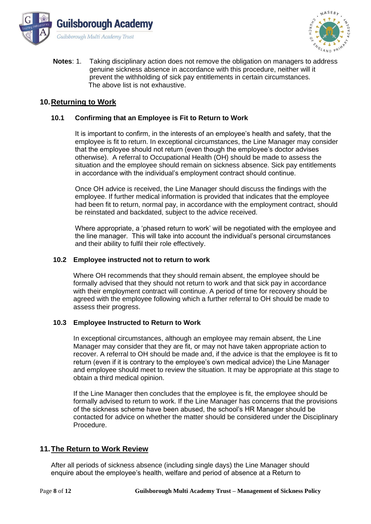



**Notes**: 1. Taking disciplinary action does not remove the obligation on managers to address genuine sickness absence in accordance with this procedure, neither will it prevent the withholding of sick pay entitlements in certain circumstances. The above list is not exhaustive.

## **10.Returning to Work**

#### **10.1 Confirming that an Employee is Fit to Return to Work**

It is important to confirm, in the interests of an employee's health and safety, that the employee is fit to return. In exceptional circumstances, the Line Manager may consider that the employee should not return (even though the employee's doctor advises otherwise). A referral to Occupational Health (OH) should be made to assess the situation and the employee should remain on sickness absence. Sick pay entitlements in accordance with the individual's employment contract should continue.

Once OH advice is received, the Line Manager should discuss the findings with the employee. If further medical information is provided that indicates that the employee had been fit to return, normal pay, in accordance with the employment contract, should be reinstated and backdated, subject to the advice received.

Where appropriate, a 'phased return to work' will be negotiated with the employee and the line manager. This will take into account the individual's personal circumstances and their ability to fulfil their role effectively.

#### **10.2 Employee instructed not to return to work**

Where OH recommends that they should remain absent, the employee should be formally advised that they should not return to work and that sick pay in accordance with their employment contract will continue. A period of time for recovery should be agreed with the employee following which a further referral to OH should be made to assess their progress.

#### **10.3 Employee Instructed to Return to Work**

In exceptional circumstances, although an employee may remain absent, the Line Manager may consider that they are fit, or may not have taken appropriate action to recover. A referral to OH should be made and, if the advice is that the employee is fit to return (even if it is contrary to the employee's own medical advice) the Line Manager and employee should meet to review the situation. It may be appropriate at this stage to obtain a third medical opinion.

If the Line Manager then concludes that the employee is fit, the employee should be formally advised to return to work. If the Line Manager has concerns that the provisions of the sickness scheme have been abused, the school's HR Manager should be contacted for advice on whether the matter should be considered under the Disciplinary Procedure.

#### **11.The Return to Work Review**

After all periods of sickness absence (including single days) the Line Manager should enquire about the employee's health, welfare and period of absence at a Return to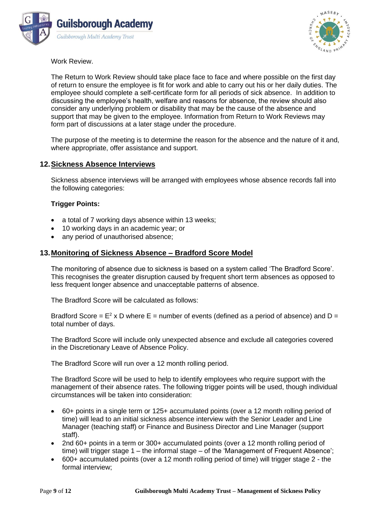



Work Review.

The Return to Work Review should take place face to face and where possible on the first day of return to ensure the employee is fit for work and able to carry out his or her daily duties. The employee should complete a self-certificate form for all periods of sick absence. In addition to discussing the employee's health, welfare and reasons for absence, the review should also consider any underlying problem or disability that may be the cause of the absence and support that may be given to the employee. Information from Return to Work Reviews may form part of discussions at a later stage under the procedure.

The purpose of the meeting is to determine the reason for the absence and the nature of it and, where appropriate, offer assistance and support.

## **12.Sickness Absence Interviews**

Sickness absence interviews will be arranged with employees whose absence records fall into the following categories:

#### **Trigger Points:**

- a total of 7 working days absence within 13 weeks;
- 10 working days in an academic year; or
- any period of unauthorised absence:

## **13.Monitoring of Sickness Absence – Bradford Score Model**

The monitoring of absence due to sickness is based on a system called 'The Bradford Score'. This recognises the greater disruption caused by frequent short term absences as opposed to less frequent longer absence and unacceptable patterns of absence.

The Bradford Score will be calculated as follows:

Bradford Score =  $E^2$  x D where E = number of events (defined as a period of absence) and D = total number of days.

The Bradford Score will include only unexpected absence and exclude all categories covered in the Discretionary Leave of Absence Policy.

The Bradford Score will run over a 12 month rolling period.

The Bradford Score will be used to help to identify employees who require support with the management of their absence rates. The following trigger points will be used, though individual circumstances will be taken into consideration:

- 60+ points in a single term or 125+ accumulated points (over a 12 month rolling period of time) will lead to an initial sickness absence interview with the Senior Leader and Line Manager (teaching staff) or Finance and Business Director and Line Manager (support staff).
- 2nd 60+ points in a term or 300+ accumulated points (over a 12 month rolling period of time) will trigger stage 1 – the informal stage – of the 'Management of Frequent Absence';
- 600+ accumulated points (over a 12 month rolling period of time) will trigger stage 2 the formal interview;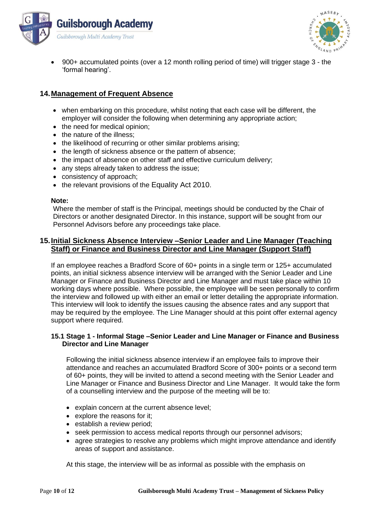



• 900+ accumulated points (over a 12 month rolling period of time) will trigger stage 3 - the 'formal hearing'.

## **14.Management of Frequent Absence**

- when embarking on this procedure, whilst noting that each case will be different, the employer will consider the following when determining any appropriate action;
- the need for medical opinion:
- the nature of the illness:
- the likelihood of recurring or other similar problems arising;
- the length of sickness absence or the pattern of absence;
- the impact of absence on other staff and effective curriculum delivery;
- any steps already taken to address the issue;
- consistency of approach:
- the relevant provisions of the Equality Act 2010.

#### **Note:**

Where the member of staff is the Principal, meetings should be conducted by the Chair of Directors or another designated Director. In this instance, support will be sought from our Personnel Advisors before any proceedings take place.

## **15.Initial Sickness Absence Interview –Senior Leader and Line Manager (Teaching Staff) or Finance and Business Director and Line Manager (Support Staff)**

If an employee reaches a Bradford Score of 60+ points in a single term or 125+ accumulated points, an initial sickness absence interview will be arranged with the Senior Leader and Line Manager or Finance and Business Director and Line Manager and must take place within 10 working days where possible. Where possible, the employee will be seen personally to confirm the interview and followed up with either an email or letter detailing the appropriate information. This interview will look to identify the issues causing the absence rates and any support that may be required by the employee. The Line Manager should at this point offer external agency support where required.

#### **15.1 Stage 1 - Informal Stage –Senior Leader and Line Manager or Finance and Business Director and Line Manager**

Following the initial sickness absence interview if an employee fails to improve their attendance and reaches an accumulated Bradford Score of 300+ points or a second term of 60+ points, they will be invited to attend a second meeting with the Senior Leader and Line Manager or Finance and Business Director and Line Manager. It would take the form of a counselling interview and the purpose of the meeting will be to:

- explain concern at the current absence level;
- explore the reasons for it:
- establish a review period;
- seek permission to access medical reports through our personnel advisors;
- agree strategies to resolve any problems which might improve attendance and identify areas of support and assistance.

At this stage, the interview will be as informal as possible with the emphasis on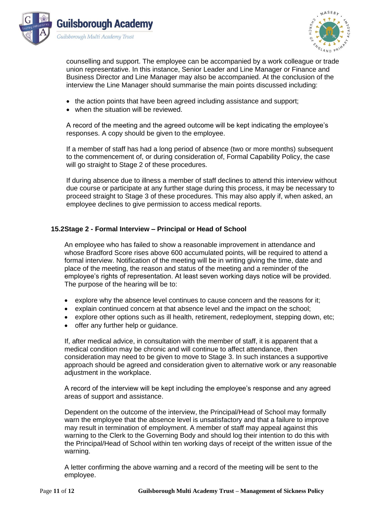



counselling and support. The employee can be accompanied by a work colleague or trade union representative. In this instance, Senior Leader and Line Manager or Finance and Business Director and Line Manager may also be accompanied. At the conclusion of the interview the Line Manager should summarise the main points discussed including:

- the action points that have been agreed including assistance and support;
- when the situation will be reviewed.

A record of the meeting and the agreed outcome will be kept indicating the employee's responses. A copy should be given to the employee.

If a member of staff has had a long period of absence (two or more months) subsequent to the commencement of, or during consideration of, Formal Capability Policy, the case will go straight to Stage 2 of these procedures.

If during absence due to illness a member of staff declines to attend this interview without due course or participate at any further stage during this process, it may be necessary to proceed straight to Stage 3 of these procedures. This may also apply if, when asked, an employee declines to give permission to access medical reports.

#### **15.2Stage 2 - Formal Interview – Principal or Head of School**

An employee who has failed to show a reasonable improvement in attendance and whose Bradford Score rises above 600 accumulated points, will be required to attend a formal interview. Notification of the meeting will be in writing giving the time, date and place of the meeting, the reason and status of the meeting and a reminder of the employee's rights of representation. At least seven working days notice will be provided. The purpose of the hearing will be to:

- explore why the absence level continues to cause concern and the reasons for it;
- explain continued concern at that absence level and the impact on the school;
- explore other options such as ill health, retirement, redeployment, stepping down, etc;
- offer any further help or guidance.

If, after medical advice, in consultation with the member of staff, it is apparent that a medical condition may be chronic and will continue to affect attendance, then consideration may need to be given to move to Stage 3. In such instances a supportive approach should be agreed and consideration given to alternative work or any reasonable adjustment in the workplace.

A record of the interview will be kept including the employee's response and any agreed areas of support and assistance.

Dependent on the outcome of the interview, the Principal/Head of School may formally warn the employee that the absence level is unsatisfactory and that a failure to improve may result in termination of employment. A member of staff may appeal against this warning to the Clerk to the Governing Body and should log their intention to do this with the Principal/Head of School within ten working days of receipt of the written issue of the warning.

A letter confirming the above warning and a record of the meeting will be sent to the employee.